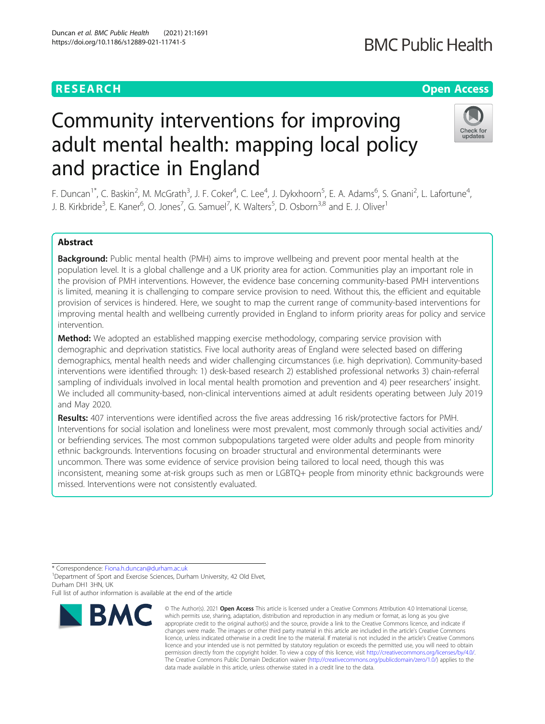# **RESEARCH CHE Open Access**

# **BMC Public Health**

# Check for updates

# Community interventions for improving adult mental health: mapping local policy and practice in England

F. Duncan<sup>1\*</sup>, C. Baskin<sup>2</sup>, M. McGrath<sup>3</sup>, J. F. Coker<sup>4</sup>, C. Lee<sup>4</sup>, J. Dykxhoorn<sup>5</sup>, E. A. Adams<sup>6</sup>, S. Gnani<sup>2</sup>, L. Lafortune<sup>4</sup> , J. B. Kirkbride<sup>3</sup>, E. Kaner<sup>6</sup>, O. Jones<sup>7</sup>, G. Samuel<sup>7</sup>, K. Walters<sup>5</sup>, D. Osborn<sup>3,8</sup> and E. J. Oliver<sup>1</sup>

# Abstract

Background: Public mental health (PMH) aims to improve wellbeing and prevent poor mental health at the population level. It is a global challenge and a UK priority area for action. Communities play an important role in the provision of PMH interventions. However, the evidence base concerning community-based PMH interventions is limited, meaning it is challenging to compare service provision to need. Without this, the efficient and equitable provision of services is hindered. Here, we sought to map the current range of community-based interventions for improving mental health and wellbeing currently provided in England to inform priority areas for policy and service intervention.

Method: We adopted an established mapping exercise methodology, comparing service provision with demographic and deprivation statistics. Five local authority areas of England were selected based on differing demographics, mental health needs and wider challenging circumstances (i.e. high deprivation). Community-based interventions were identified through: 1) desk-based research 2) established professional networks 3) chain-referral sampling of individuals involved in local mental health promotion and prevention and 4) peer researchers' insight. We included all community-based, non-clinical interventions aimed at adult residents operating between July 2019 and May 2020.

Results: 407 interventions were identified across the five areas addressing 16 risk/protective factors for PMH. Interventions for social isolation and loneliness were most prevalent, most commonly through social activities and/ or befriending services. The most common subpopulations targeted were older adults and people from minority ethnic backgrounds. Interventions focusing on broader structural and environmental determinants were uncommon. There was some evidence of service provision being tailored to local need, though this was inconsistent, meaning some at-risk groups such as men or LGBTQ+ people from minority ethnic backgrounds were missed. Interventions were not consistently evaluated.

\* Correspondence: [Fiona.h.duncan@durham.ac.uk](mailto:Fiona.h.duncan@durham.ac.uk) <sup>1</sup>

<sup>1</sup>Department of Sport and Exercise Sciences, Durham University, 42 Old Elvet, Durham DH1 3HN, UK

Full list of author information is available at the end of the article



<sup>©</sup> The Author(s), 2021 **Open Access** This article is licensed under a Creative Commons Attribution 4.0 International License, which permits use, sharing, adaptation, distribution and reproduction in any medium or format, as long as you give appropriate credit to the original author(s) and the source, provide a link to the Creative Commons licence, and indicate if changes were made. The images or other third party material in this article are included in the article's Creative Commons licence, unless indicated otherwise in a credit line to the material. If material is not included in the article's Creative Commons licence and your intended use is not permitted by statutory regulation or exceeds the permitted use, you will need to obtain permission directly from the copyright holder. To view a copy of this licence, visit [http://creativecommons.org/licenses/by/4.0/.](http://creativecommons.org/licenses/by/4.0/) The Creative Commons Public Domain Dedication waiver [\(http://creativecommons.org/publicdomain/zero/1.0/](http://creativecommons.org/publicdomain/zero/1.0/)) applies to the data made available in this article, unless otherwise stated in a credit line to the data.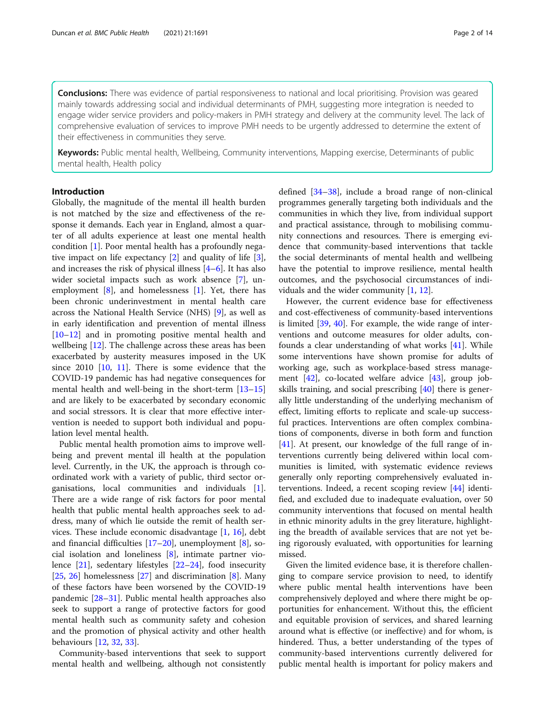**Conclusions:** There was evidence of partial responsiveness to national and local prioritising. Provision was geared mainly towards addressing social and individual determinants of PMH, suggesting more integration is needed to engage wider service providers and policy-makers in PMH strategy and delivery at the community level. The lack of comprehensive evaluation of services to improve PMH needs to be urgently addressed to determine the extent of their effectiveness in communities they serve.

Keywords: Public mental health, Wellbeing, Community interventions, Mapping exercise, Determinants of public mental health, Health policy

# Introduction

Globally, the magnitude of the mental ill health burden is not matched by the size and effectiveness of the response it demands. Each year in England, almost a quarter of all adults experience at least one mental health condition [[1\]](#page-11-0). Poor mental health has a profoundly negative impact on life expectancy [\[2](#page-11-0)] and quality of life [\[3](#page-11-0)], and increases the risk of physical illness [\[4](#page-11-0)–[6\]](#page-12-0). It has also wider societal impacts such as work absence [[7\]](#page-12-0), unemployment  $[8]$  $[8]$ , and homelessness  $[1]$  $[1]$ . Yet, there has been chronic underinvestment in mental health care across the National Health Service (NHS) [[9\]](#page-12-0), as well as in early identification and prevention of mental illness [[10](#page-12-0)–[12](#page-12-0)] and in promoting positive mental health and wellbeing [\[12](#page-12-0)]. The challenge across these areas has been exacerbated by austerity measures imposed in the UK since 2010 [\[10](#page-12-0), [11](#page-12-0)]. There is some evidence that the COVID-19 pandemic has had negative consequences for mental health and well-being in the short-term [[13](#page-12-0)–[15](#page-12-0)] and are likely to be exacerbated by secondary economic and social stressors. It is clear that more effective intervention is needed to support both individual and population level mental health.

Public mental health promotion aims to improve wellbeing and prevent mental ill health at the population level. Currently, in the UK, the approach is through coordinated work with a variety of public, third sector organisations, local communities and individuals [\[1](#page-11-0)]. There are a wide range of risk factors for poor mental health that public mental health approaches seek to address, many of which lie outside the remit of health services. These include economic disadvantage [[1,](#page-11-0) [16](#page-12-0)], debt and financial difficulties [[17](#page-12-0)–[20](#page-12-0)], unemployment [\[8](#page-12-0)], social isolation and loneliness [[8\]](#page-12-0), intimate partner violence [[21\]](#page-12-0), sedentary lifestyles [[22](#page-12-0)–[24\]](#page-12-0), food insecurity [[25,](#page-12-0) [26](#page-12-0)] homelessness  $[27]$  and discrimination  $[8]$  $[8]$ . Many of these factors have been worsened by the COVID-19 pandemic [[28](#page-12-0)–[31](#page-12-0)]. Public mental health approaches also seek to support a range of protective factors for good mental health such as community safety and cohesion and the promotion of physical activity and other health behaviours [[12,](#page-12-0) [32,](#page-12-0) [33\]](#page-12-0).

Community-based interventions that seek to support mental health and wellbeing, although not consistently defined [[34](#page-12-0)–[38](#page-12-0)], include a broad range of non-clinical programmes generally targeting both individuals and the communities in which they live, from individual support and practical assistance, through to mobilising community connections and resources. There is emerging evidence that community-based interventions that tackle the social determinants of mental health and wellbeing have the potential to improve resilience, mental health outcomes, and the psychosocial circumstances of individuals and the wider community [\[1](#page-11-0), [12](#page-12-0)].

However, the current evidence base for effectiveness and cost-effectiveness of community-based interventions is limited [[39](#page-12-0), [40\]](#page-12-0). For example, the wide range of interventions and outcome measures for older adults, confounds a clear understanding of what works [\[41\]](#page-12-0). While some interventions have shown promise for adults of working age, such as workplace-based stress management [[42](#page-12-0)], co-located welfare advice [\[43\]](#page-12-0), group jobskills training, and social prescribing [\[40\]](#page-12-0) there is generally little understanding of the underlying mechanism of effect, limiting efforts to replicate and scale-up successful practices. Interventions are often complex combinations of components, diverse in both form and function [[41\]](#page-12-0). At present, our knowledge of the full range of interventions currently being delivered within local communities is limited, with systematic evidence reviews generally only reporting comprehensively evaluated interventions. Indeed, a recent scoping review [\[44\]](#page-12-0) identified, and excluded due to inadequate evaluation, over 50 community interventions that focused on mental health in ethnic minority adults in the grey literature, highlighting the breadth of available services that are not yet being rigorously evaluated, with opportunities for learning missed.

Given the limited evidence base, it is therefore challenging to compare service provision to need, to identify where public mental health interventions have been comprehensively deployed and where there might be opportunities for enhancement. Without this, the efficient and equitable provision of services, and shared learning around what is effective (or ineffective) and for whom, is hindered. Thus, a better understanding of the types of community-based interventions currently delivered for public mental health is important for policy makers and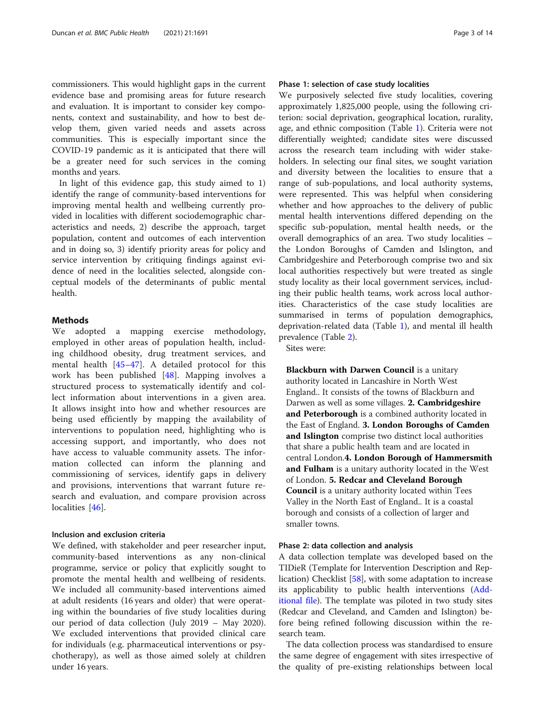commissioners. This would highlight gaps in the current evidence base and promising areas for future research and evaluation. It is important to consider key components, context and sustainability, and how to best develop them, given varied needs and assets across communities. This is especially important since the COVID-19 pandemic as it is anticipated that there will be a greater need for such services in the coming months and years.

In light of this evidence gap, this study aimed to 1) identify the range of community-based interventions for improving mental health and wellbeing currently provided in localities with different sociodemographic characteristics and needs, 2) describe the approach, target population, content and outcomes of each intervention and in doing so, 3) identify priority areas for policy and service intervention by critiquing findings against evidence of need in the localities selected, alongside conceptual models of the determinants of public mental health.

# Methods

We adopted a mapping exercise methodology, employed in other areas of population health, including childhood obesity, drug treatment services, and mental health [[45](#page-12-0)–[47\]](#page-13-0). A detailed protocol for this work has been published [\[48](#page-13-0)]. Mapping involves a structured process to systematically identify and collect information about interventions in a given area. It allows insight into how and whether resources are being used efficiently by mapping the availability of interventions to population need, highlighting who is accessing support, and importantly, who does not have access to valuable community assets. The information collected can inform the planning and commissioning of services, identify gaps in delivery and provisions, interventions that warrant future research and evaluation, and compare provision across localities [\[46](#page-13-0)].

# Inclusion and exclusion criteria

We defined, with stakeholder and peer researcher input, community-based interventions as any non-clinical programme, service or policy that explicitly sought to promote the mental health and wellbeing of residents. We included all community-based interventions aimed at adult residents (16 years and older) that were operating within the boundaries of five study localities during our period of data collection (July 2019 – May 2020). We excluded interventions that provided clinical care for individuals (e.g. pharmaceutical interventions or psychotherapy), as well as those aimed solely at children under 16 years.

# Phase 1: selection of case study localities

We purposively selected five study localities, covering approximately 1,825,000 people, using the following criterion: social deprivation, geographical location, rurality, age, and ethnic composition (Table [1](#page-3-0)). Criteria were not differentially weighted; candidate sites were discussed across the research team including with wider stakeholders. In selecting our final sites, we sought variation and diversity between the localities to ensure that a range of sub-populations, and local authority systems, were represented. This was helpful when considering whether and how approaches to the delivery of public mental health interventions differed depending on the specific sub-population, mental health needs, or the overall demographics of an area. Two study localities – the London Boroughs of Camden and Islington, and Cambridgeshire and Peterborough comprise two and six local authorities respectively but were treated as single study locality as their local government services, including their public health teams, work across local authorities. Characteristics of the case study localities are summarised in terms of population demographics, deprivation-related data (Table [1](#page-3-0)), and mental ill health prevalence (Table [2](#page-4-0)).

Sites were:

Blackburn with Darwen Council is a unitary authority located in Lancashire in North West England.. It consists of the towns of Blackburn and Darwen as well as some villages. 2. Cambridgeshire and Peterborough is a combined authority located in the East of England. 3. London Boroughs of Camden and Islington comprise two distinct local authorities that share a public health team and are located in central London.4. London Borough of Hammersmith and Fulham is a unitary authority located in the West of London. 5. Redcar and Cleveland Borough Council is a unitary authority located within Tees Valley in the North East of England.. It is a coastal borough and consists of a collection of larger and smaller towns.

# Phase 2: data collection and analysis

A data collection template was developed based on the TIDieR (Template for Intervention Description and Replication) Checklist [[58\]](#page-13-0), with some adaptation to increase its applicability to public health interventions ([Add](#page-11-0)[itional file\)](#page-11-0). The template was piloted in two study sites (Redcar and Cleveland, and Camden and Islington) before being refined following discussion within the research team.

The data collection process was standardised to ensure the same degree of engagement with sites irrespective of the quality of pre-existing relationships between local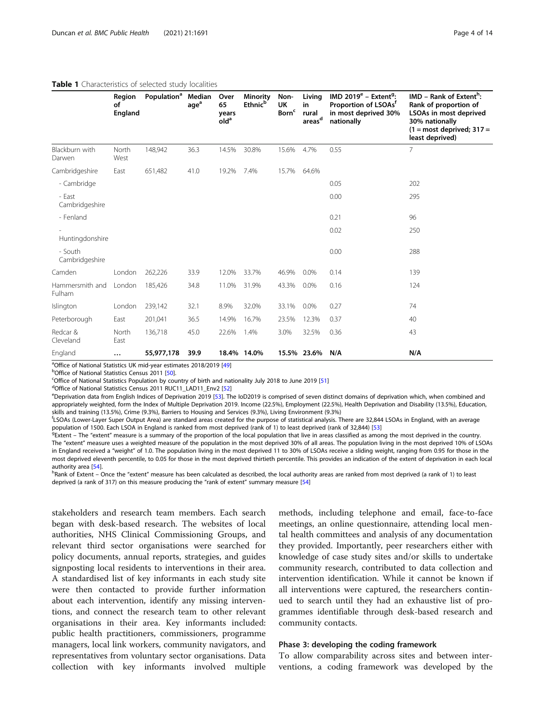| Table 1 Characteristics of selected study localities |                         |                                |                  |                                         |                                               |                                        |                                             |                                                                                                                       |                                                                                                                                                  |
|------------------------------------------------------|-------------------------|--------------------------------|------------------|-----------------------------------------|-----------------------------------------------|----------------------------------------|---------------------------------------------|-----------------------------------------------------------------------------------------------------------------------|--------------------------------------------------------------------------------------------------------------------------------------------------|
|                                                      | Region<br>οf<br>England | Population <sup>a</sup> Median | age <sup>a</sup> | Over<br>65<br>years<br>old <sup>a</sup> | <b>Minority</b><br><b>Ethnic</b> <sup>b</sup> | Non-<br>UK<br><b>Born</b> <sup>c</sup> | Living<br>in<br>rural<br>areas <sup>d</sup> | IMD 2019 $^{\rm e}$ – Extent <sup>9</sup> :<br>Proportion of LSOAs <sup>T</sup><br>in most deprived 30%<br>nationally | $IMD - Rank of Extentb$ :<br>Rank of proportion of<br>LSOAs in most deprived<br>30% nationally<br>$(1 = most deprived; 317 =$<br>least deprived) |
| Blackburn with<br>Darwen                             | North<br>West           | 148,942                        | 36.3             | 14.5%                                   | 30.8%                                         | 15.6%                                  | 4.7%                                        | 0.55                                                                                                                  | 7                                                                                                                                                |
| Cambridgeshire                                       | East                    | 651,482                        | 41.0             | 19.2%                                   | 7.4%                                          | 15.7%                                  | 64.6%                                       |                                                                                                                       |                                                                                                                                                  |
| - Cambridge                                          |                         |                                |                  |                                         |                                               |                                        |                                             | 0.05                                                                                                                  | 202                                                                                                                                              |
| - East<br>Cambridgeshire                             |                         |                                |                  |                                         |                                               |                                        |                                             | 0.00                                                                                                                  | 295                                                                                                                                              |
| - Fenland                                            |                         |                                |                  |                                         |                                               |                                        |                                             | 0.21                                                                                                                  | 96                                                                                                                                               |
| Huntingdonshire                                      |                         |                                |                  |                                         |                                               |                                        |                                             | 0.02                                                                                                                  | 250                                                                                                                                              |
| - South<br>Cambridgeshire                            |                         |                                |                  |                                         |                                               |                                        |                                             | 0.00                                                                                                                  | 288                                                                                                                                              |
| Camden                                               | London                  | 262,226                        | 33.9             | 12.0%                                   | 33.7%                                         | 46.9%                                  | $0.0\%$                                     | 0.14                                                                                                                  | 139                                                                                                                                              |
| Hammersmith and                                      | London                  | 185,426                        | 34.8             | 11.0%                                   | 31.9%                                         | 43.3%                                  | 0.0%                                        | 0.16                                                                                                                  | 124                                                                                                                                              |

# <span id="page-3-0"></span>Table 1

Fulham

Redcar & Cleveland

<sup>a</sup> Office of National Statistics UK mid-year estimates 2018/2019 [\[49](#page-13-0)]<br><sup>b</sup>Office of National Statistics Consus 2011 [50]

<sup>b</sup>Office of National Statistics Census 2011 [\[50](#page-13-0)]

North East

<sup>c</sup>Office of National Statistics Population by country of birth and nationality July 2018 to June 2019 [[51\]](#page-13-0)

<sup>d</sup>Office of National Statistics Census 2011 RUC11\_LAD11\_Env2 [\[52](#page-13-0)]

eDeprivation data from English Indices of Deprivation 2019 [[53](#page-13-0)]. The IoD2019 is comprised of seven distinct domains of deprivation which, when combined and appropriately weighted, form the Index of Multiple Deprivation 2019. Income (22.5%), Employment (22.5%), Health Deprivation and Disability (13.5%), Education, skills and training (13.5%), Crime (9.3%), Barriers to Housing and Services (9.3%), Living Environment (9.3%)

136,718 45.0 22.6% 1.4% 3.0% 32.5% 0.36 43

f LSOAs (Lower-Layer Super Output Area) are standard areas created for the purpose of statistical analysis. There are 32,844 LSOAs in England, with an average population of 1500. Each LSOA in England is ranked from most deprived (rank of 1) to least deprived (rank of 32,844) [\[53](#page-13-0)]

Islington London 239,142 32.1 8.9% 32.0% 33.1% 0.0% 0.27 74 Peterborough East 201,041 36.5 14.9% 16.7% 23.5% 12.3% 0.37 40

England … 55,977,178 39.9 18.4% 14.0% 15.5% 23.6% N/A N/A

 $P_{\text{Extent}}$  – The "extent" measure is a summary of the proportion of the local population that live in areas classified as among the most deprived in the country. The "extent" measure uses a weighted measure of the population in the most deprived 30% of all areas. The population living in the most deprived 10% of LSOAs in England received a "weight" of 1.0. The population living in the most deprived 11 to 30% of LSOAs receive a sliding weight, ranging from 0.95 for those in the most deprived eleventh percentile, to 0.05 for those in the most deprived thirtieth percentile. This provides an indication of the extent of deprivation in each local authority area [[54](#page-13-0)].

h Rank of Extent – Once the "extent" measure has been calculated as described, the local authority areas are ranked from most deprived (a rank of 1) to least deprived (a rank of 317) on this measure producing the "rank of extent" summary measure [\[54](#page-13-0)]

stakeholders and research team members. Each search began with desk-based research. The websites of local authorities, NHS Clinical Commissioning Groups, and relevant third sector organisations were searched for policy documents, annual reports, strategies, and guides signposting local residents to interventions in their area. A standardised list of key informants in each study site were then contacted to provide further information about each intervention, identify any missing interventions, and connect the research team to other relevant organisations in their area. Key informants included: public health practitioners, commissioners, programme managers, local link workers, community navigators, and representatives from voluntary sector organisations. Data collection with key informants involved multiple methods, including telephone and email, face-to-face meetings, an online questionnaire, attending local mental health committees and analysis of any documentation they provided. Importantly, peer researchers either with knowledge of case study sites and/or skills to undertake community research, contributed to data collection and intervention identification. While it cannot be known if all interventions were captured, the researchers continued to search until they had an exhaustive list of programmes identifiable through desk-based research and community contacts.

# Phase 3: developing the coding framework

To allow comparability across sites and between interventions, a coding framework was developed by the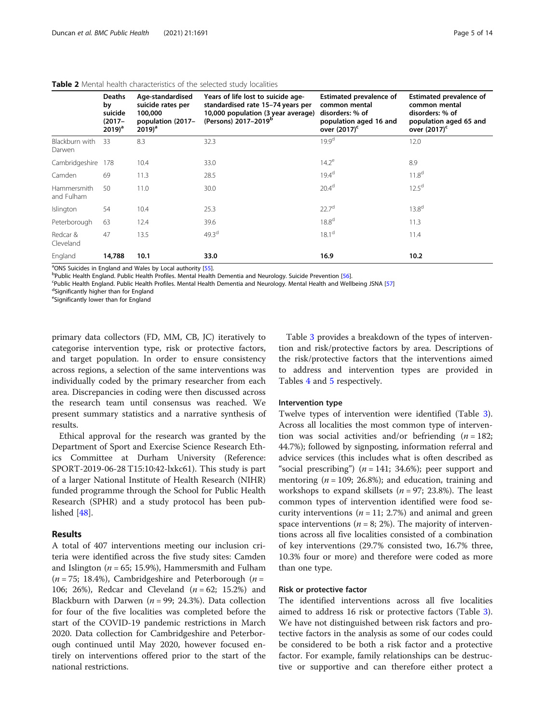|                                  | <b>Deaths</b><br>by<br>suicide<br>$(2017 -$<br>$2019)^a$ | Age-standardised<br>suicide rates per<br>100,000<br>population (2017-<br>$(2019)^a$ | Years of life lost to suicide age-<br>standardised rate 15-74 years per<br>10,000 population (3 year average)<br>(Persons) 2017-2019 <sup>b</sup> | <b>Estimated prevalence of</b><br>common mental<br>disorders: % of<br>population aged 16 and<br>over (2017) <sup>c</sup> | <b>Estimated prevalence of</b><br>common mental<br>disorders: % of<br>population aged 65 and<br>over (2017) <sup>c</sup> |
|----------------------------------|----------------------------------------------------------|-------------------------------------------------------------------------------------|---------------------------------------------------------------------------------------------------------------------------------------------------|--------------------------------------------------------------------------------------------------------------------------|--------------------------------------------------------------------------------------------------------------------------|
| Blackburn with<br>Darwen         | 33                                                       | 8.3                                                                                 | 32.3                                                                                                                                              | 19.9 <sup>d</sup>                                                                                                        | 12.0                                                                                                                     |
| Cambridgeshire                   | 178                                                      | 10.4                                                                                | 33.0                                                                                                                                              | $14.2^e$                                                                                                                 | 8.9                                                                                                                      |
| Camden                           | 69                                                       | 11.3                                                                                | 28.5                                                                                                                                              | 19.4 <sup>d</sup>                                                                                                        | 11.8 <sup>d</sup>                                                                                                        |
| <b>Hammersmith</b><br>and Fulham | 50                                                       | 11.0                                                                                | 30.0                                                                                                                                              | 20.4 <sup>d</sup>                                                                                                        | 12.5 <sup>d</sup>                                                                                                        |
| Islington                        | 54                                                       | 10.4                                                                                | 25.3                                                                                                                                              | 22.7 <sup>d</sup>                                                                                                        | 13.8 <sup>d</sup>                                                                                                        |
| Peterborough                     | 63                                                       | 12.4                                                                                | 39.6                                                                                                                                              | 18.8 <sup>d</sup>                                                                                                        | 11.3                                                                                                                     |
| Redcar &<br>Cleveland            | 47                                                       | 13.5                                                                                | 49.3 <sup>d</sup>                                                                                                                                 | 18.1 <sup>d</sup>                                                                                                        | 11.4                                                                                                                     |
| England                          | 14,788                                                   | 10.1                                                                                | 33.0                                                                                                                                              | 16.9                                                                                                                     | 10.2                                                                                                                     |

# <span id="page-4-0"></span>Table 2 Mental health characteristics of the selected study localities

<sup>a</sup>ONS Suicides in England and Wales by Local authority [\[55\]](#page-13-0).<br>PRublic Hoalth England, Bublic Hoalth Brafiles, Montal Hoalth

<sup>B</sup>Public Health England. Public Health Profiles. Mental Health Dementia and Neurology. Suicide Prevention [[56\]](#page-13-0).

<sup>c</sup>Public Health England. Public Health Profiles. Mental Health Dementia and Neurology. Mental Health and Wellbeing JSNA [\[57\]](#page-13-0)

dSignificantly higher than for England

e Significantly lower than for England

primary data collectors (FD, MM, CB, JC) iteratively to categorise intervention type, risk or protective factors, and target population. In order to ensure consistency across regions, a selection of the same interventions was individually coded by the primary researcher from each area. Discrepancies in coding were then discussed across the research team until consensus was reached. We present summary statistics and a narrative synthesis of results.

Ethical approval for the research was granted by the Department of Sport and Exercise Science Research Ethics Committee at Durham University (Reference: SPORT-2019-06-28 T15:10:42-lxkc61). This study is part of a larger National Institute of Health Research (NIHR) funded programme through the School for Public Health Research (SPHR) and a study protocol has been published [[48](#page-13-0)].

# Results

A total of 407 interventions meeting our inclusion criteria were identified across the five study sites: Camden and Islington ( $n = 65$ ; 15.9%), Hammersmith and Fulham  $(n = 75; 18.4\%)$ , Cambridgeshire and Peterborough  $(n = 15; 18.4\%)$ 106; 26%), Redcar and Cleveland  $(n = 62; 15.2%)$  and Blackburn with Darwen ( $n = 99$ ; 24.3%). Data collection for four of the five localities was completed before the start of the COVID-19 pandemic restrictions in March 2020. Data collection for Cambridgeshire and Peterborough continued until May 2020, however focused entirely on interventions offered prior to the start of the national restrictions.

Table [3](#page-5-0) provides a breakdown of the types of intervention and risk/protective factors by area. Descriptions of the risk/protective factors that the interventions aimed to address and intervention types are provided in Tables [4](#page-6-0) and [5](#page-7-0) respectively.

# Intervention type

Twelve types of intervention were identified (Table [3](#page-5-0)). Across all localities the most common type of intervention was social activities and/or befriending  $(n = 182)$ ; 44.7%); followed by signposting, information referral and advice services (this includes what is often described as "social prescribing") ( $n = 141$ ; 34.6%); peer support and mentoring ( $n = 109$ ; 26.8%); and education, training and workshops to expand skillsets ( $n = 97$ ; 23.8%). The least common types of intervention identified were food security interventions ( $n = 11$ ; 2.7%) and animal and green space interventions ( $n = 8$ ; 2%). The majority of interventions across all five localities consisted of a combination of key interventions (29.7% consisted two, 16.7% three, 10.3% four or more) and therefore were coded as more than one type.

# Risk or protective factor

The identified interventions across all five localities aimed to address 16 risk or protective factors (Table [3](#page-5-0)). We have not distinguished between risk factors and protective factors in the analysis as some of our codes could be considered to be both a risk factor and a protective factor. For example, family relationships can be destructive or supportive and can therefore either protect a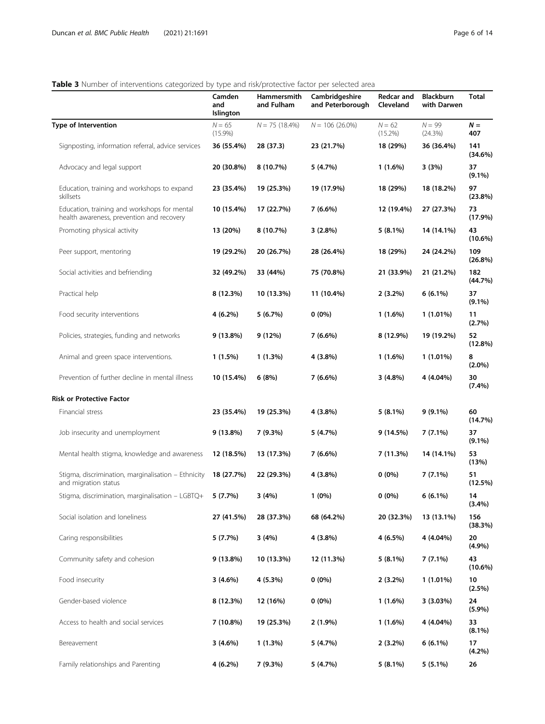# <span id="page-5-0"></span>Table 3 Number of interventions categorized by type and risk/protective factor per selected area

|                                                                                           | Camden<br>and<br>Islington | Hammersmith<br>and Fulham | Cambridgeshire<br>and Peterborough | <b>Redcar and</b><br>Cleveland | <b>Blackburn</b><br>with Darwen | Total            |
|-------------------------------------------------------------------------------------------|----------------------------|---------------------------|------------------------------------|--------------------------------|---------------------------------|------------------|
| <b>Type of Intervention</b>                                                               | $N = 65$<br>$(15.9\%)$     | $N = 75(18.4\%)$          | $N = 106(26.0\%)$                  | $N = 62$<br>$(15.2\%)$         | $N = 99$<br>(24.3%)             | $N =$<br>407     |
| Signposting, information referral, advice services                                        | 36 (55.4%)                 | 28 (37.3)                 | 23 (21.7%)                         | 18 (29%)                       | 36 (36.4%)                      | 141<br>(34.6%)   |
| Advocacy and legal support                                                                | 20 (30.8%)                 | 8 (10.7%)                 | 5 (4.7%)                           | $1(1.6\%)$                     | 3(3%)                           | 37<br>$(9.1\%)$  |
| Education, training and workshops to expand<br>skillsets                                  | 23 (35.4%)                 | 19 (25.3%)                | 19 (17.9%)                         | 18 (29%)                       | 18 (18.2%)                      | 97<br>(23.8%)    |
| Education, training and workshops for mental<br>health awareness, prevention and recovery | 10 (15.4%)                 | 17 (22.7%)                | 7 (6.6%)                           | 12 (19.4%)                     | 27 (27.3%)                      | 73<br>$(17.9\%)$ |
| Promoting physical activity                                                               | 13 (20%)                   | 8 (10.7%)                 | 3(2.8%)                            | $5(8.1\%)$                     | 14 (14.1%)                      | 43<br>$(10.6\%)$ |
| Peer support, mentoring                                                                   | 19 (29.2%)                 | 20 (26.7%)                | 28 (26.4%)                         | 18 (29%)                       | 24 (24.2%)                      | 109<br>(26.8%)   |
| Social activities and befriending                                                         | 32 (49.2%)                 | 33 (44%)                  | 75 (70.8%)                         | 21 (33.9%)                     | 21 (21.2%)                      | 182<br>(44.7%)   |
| Practical help                                                                            | 8 (12.3%)                  | 10 (13.3%)                | 11 (10.4%)                         | $2(3.2\%)$                     | $6(6.1\%)$                      | 37<br>$(9.1\%)$  |
| Food security interventions                                                               | 4 (6.2%)                   | 5 (6.7%)                  | $0(0\%)$                           | 1(1.6%)                        | 1 (1.01%)                       | 11<br>(2.7%)     |
| Policies, strategies, funding and networks                                                | $9(13.8\%)$                | 9 (12%)                   | 7 (6.6%)                           | 8 (12.9%)                      | 19 (19.2%)                      | 52<br>$(12.8\%)$ |
| Animal and green space interventions.                                                     | $1(1.5\%)$                 | 1(1.3%)                   | 4 (3.8%)                           | $1(1.6\%)$                     | $1(1.01\%)$                     | 8<br>$(2.0\%)$   |
| Prevention of further decline in mental illness                                           | 10 (15.4%)                 | 6(8%)                     | 7 (6.6%)                           | $3(4.8\%)$                     | 4 (4.04%)                       | 30<br>$(7.4\%)$  |
| Risk or Protective Factor                                                                 |                            |                           |                                    |                                |                                 |                  |
| Financial stress                                                                          | 23 (35.4%)                 | 19 (25.3%)                | 4 (3.8%)                           | $5(8.1\%)$                     | 9 (9.1%)                        | 60<br>(14.7%)    |
| Job insecurity and unemployment                                                           | $9(13.8\%)$                | 7 (9.3%)                  | 5 (4.7%)                           | 9 (14.5%)                      | 7 (7.1%)                        | 37<br>$(9.1\%)$  |
| Mental health stigma, knowledge and awareness                                             | 12 (18.5%)                 | 13 (17.3%)                | 7 (6.6%)                           | 7 (11.3%)                      | 14 (14.1%)                      | 53<br>(13%)      |
| Stigma, discrimination, marginalisation - Ethnicity<br>and migration status               | 18 (27.7%)                 | 22 (29.3%)                | 4 (3.8%)                           | $0(0\%)$                       | 7 (7.1%)                        | 51<br>(12.5%)    |
| Stigma, discrimination, marginalisation - LGBTQ+                                          | 5(7.7%)                    | 3(4%)                     | $1(0\%)$                           | $0(0\%)$                       | 6 (6.1%)                        | 14<br>(3.4%)     |
| Social isolation and loneliness                                                           | 27 (41.5%)                 | 28 (37.3%)                | 68 (64.2%)                         | 20 (32.3%)                     | 13 (13.1%)                      | 156<br>(38.3%)   |
| Caring responsibilities                                                                   | 5(7.7%)                    | 3(4%)                     | 4 (3.8%)                           | 4(6.5%)                        | 4 (4.04%)                       | 20<br>(4.9%)     |
| Community safety and cohesion                                                             | $9(13.8\%)$                | 10 (13.3%)                | 12 (11.3%)                         | $5(8.1\%)$                     | 7 (7.1%)                        | 43<br>$(10.6\%)$ |
| Food insecurity                                                                           | $3(4.6\%)$                 | 4 (5.3%)                  | $0(0\%)$                           | $2(3.2\%)$                     | $1(1.01\%)$                     | 10<br>$(2.5\%)$  |
| Gender-based violence                                                                     | 8 (12.3%)                  | 12 (16%)                  | $0(0\%)$                           | $1(1.6\%)$                     | 3(3.03%)                        | 24<br>(5.9%)     |
| Access to health and social services                                                      | 7 (10.8%)                  | 19 (25.3%)                | $2(1.9\%)$                         | $1(1.6\%)$                     | 4 (4.04%)                       | 33<br>$(8.1\%)$  |
| Bereavement                                                                               | $3(4.6\%)$                 | 1(1.3%)                   | 5 (4.7%)                           | $2(3.2\%)$                     | $6(6.1\%)$                      | 17<br>(4.2%)     |
| Family relationships and Parenting                                                        | 4 (6.2%)                   | 7 (9.3%)                  | 5 (4.7%)                           | $5(8.1\%)$                     | $5(5.1\%)$                      | 26               |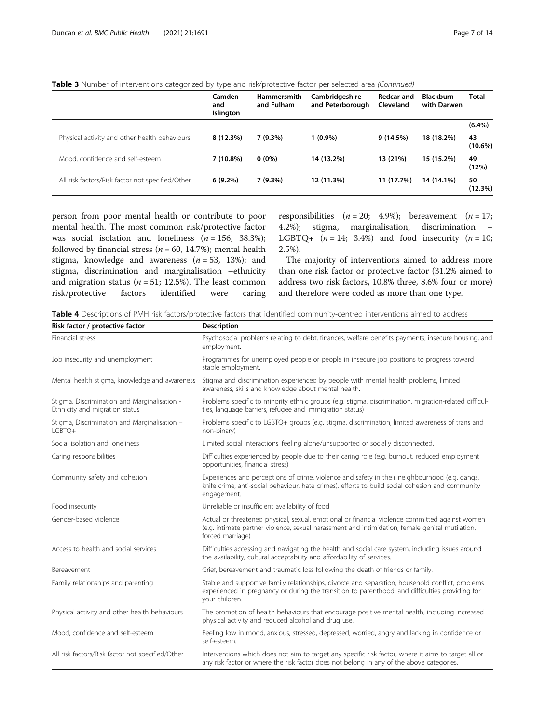# <span id="page-6-0"></span>Table 3 Number of interventions categorized by type and risk/protective factor per selected area (Continued)

|                                                  | Camden<br>and<br>Islington | <b>Hammersmith</b><br>and Fulham | Cambridgeshire<br>and Peterborough | Redcar and<br>Cleveland | <b>Blackburn</b><br>with Darwen | <b>Total</b>     |
|--------------------------------------------------|----------------------------|----------------------------------|------------------------------------|-------------------------|---------------------------------|------------------|
|                                                  |                            |                                  |                                    |                         |                                 | (6.4%)           |
| Physical activity and other health behaviours    | $8(12.3\%)$                | 7(9.3%)                          | $1(0.9\%)$                         | 9(14.5%)                | 18 (18.2%)                      | 43<br>$(10.6\%)$ |
| Mood, confidence and self-esteem                 | $7(10.8\%)$                | $0(0\%)$                         | 14 (13.2%)                         | 13 (21%)                | 15 (15.2%)                      | 49<br>(12%)      |
| All risk factors/Risk factor not specified/Other | $6(9.2\%)$                 | 7(9.3%)                          | 12 (11.3%)                         | 11 (17.7%)              | 14 (14.1%)                      | 50<br>(12.3%)    |

person from poor mental health or contribute to poor mental health. The most common risk/protective factor was social isolation and loneliness  $(n = 156, 38.3\%)$ ; followed by financial stress ( $n = 60$ , 14.7%); mental health stigma, knowledge and awareness  $(n = 53, 13%)$ ; and stigma, discrimination and marginalisation –ethnicity and migration status ( $n = 51$ ; 12.5%). The least common risk/protective factors identified were caring responsibilities  $(n = 20; 4.9\%)$ ; bereavement  $(n = 17;$ 4.2%); stigma, marginalisation, discrimination – LGBTQ+  $(n = 14; 3.4%)$  and food insecurity  $(n = 10;$ 2.5%).

The majority of interventions aimed to address more than one risk factor or protective factor (31.2% aimed to address two risk factors, 10.8% three, 8.6% four or more) and therefore were coded as more than one type.

Table 4 Descriptions of PMH risk factors/protective factors that identified community-centred interventions aimed to address

| Risk factor / protective factor                                                | <b>Description</b>                                                                                                                                                                                                    |  |  |  |  |
|--------------------------------------------------------------------------------|-----------------------------------------------------------------------------------------------------------------------------------------------------------------------------------------------------------------------|--|--|--|--|
| Financial stress                                                               | Psychosocial problems relating to debt, finances, welfare benefits payments, insecure housing, and<br>employment.                                                                                                     |  |  |  |  |
| Job insecurity and unemployment                                                | Programmes for unemployed people or people in insecure job positions to progress toward<br>stable employment.                                                                                                         |  |  |  |  |
| Mental health stigma, knowledge and awareness                                  | Stigma and discrimination experienced by people with mental health problems, limited<br>awareness, skills and knowledge about mental health.                                                                          |  |  |  |  |
| Stigma, Discrimination and Marginalisation -<br>Ethnicity and migration status | Problems specific to minority ethnic groups (e.g. stigma, discrimination, migration-related difficul-<br>ties, language barriers, refugee and immigration status)                                                     |  |  |  |  |
| Stigma, Discrimination and Marginalisation -<br>LGBTQ+                         | Problems specific to LGBTQ+ groups (e.g. stigma, discrimination, limited awareness of trans and<br>non-binary)                                                                                                        |  |  |  |  |
| Social isolation and loneliness                                                | Limited social interactions, feeling alone/unsupported or socially disconnected.                                                                                                                                      |  |  |  |  |
| Caring responsibilities                                                        | Difficulties experienced by people due to their caring role (e.g. burnout, reduced employment<br>opportunities, financial stress)                                                                                     |  |  |  |  |
| Community safety and cohesion                                                  | Experiences and perceptions of crime, violence and safety in their neighbourhood (e.g. gangs,<br>knife crime, anti-social behaviour, hate crimes), efforts to build social cohesion and community<br>engagement.      |  |  |  |  |
| Food insecurity                                                                | Unreliable or insufficient availability of food                                                                                                                                                                       |  |  |  |  |
| Gender-based violence                                                          | Actual or threatened physical, sexual, emotional or financial violence committed against women<br>(e.g. intimate partner violence, sexual harassment and intimidation, female genital mutilation,<br>forced marriage) |  |  |  |  |
| Access to health and social services                                           | Difficulties accessing and navigating the health and social care system, including issues around<br>the availability, cultural acceptability and affordability of services.                                           |  |  |  |  |
| Bereavement                                                                    | Grief, bereavement and traumatic loss following the death of friends or family.                                                                                                                                       |  |  |  |  |
| Family relationships and parenting                                             | Stable and supportive family relationships, divorce and separation, household conflict, problems<br>experienced in pregnancy or during the transition to parenthood, and difficulties providing for<br>your children. |  |  |  |  |
| Physical activity and other health behaviours                                  | The promotion of health behaviours that encourage positive mental health, including increased<br>physical activity and reduced alcohol and drug use.                                                                  |  |  |  |  |
| Mood, confidence and self-esteem                                               | Feeling low in mood, anxious, stressed, depressed, worried, angry and lacking in confidence or<br>self-esteem.                                                                                                        |  |  |  |  |
| All risk factors/Risk factor not specified/Other                               | Interventions which does not aim to target any specific risk factor, where it aims to target all or<br>any risk factor or where the risk factor does not belong in any of the above categories.                       |  |  |  |  |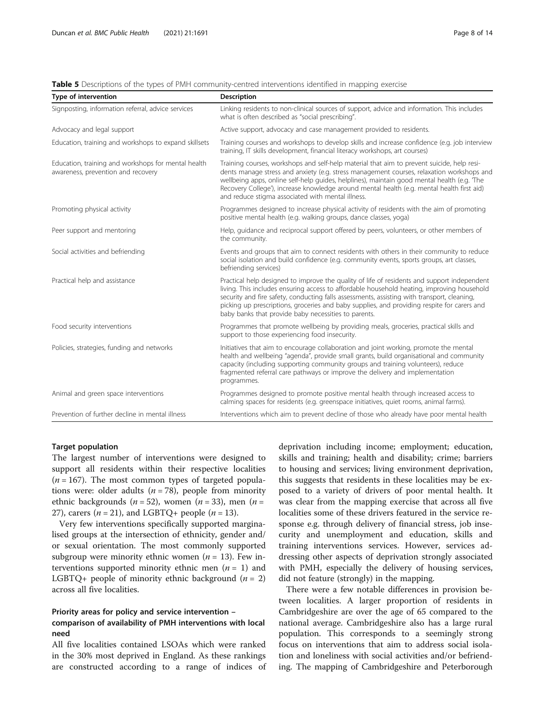| <b>Type of intervention</b>                                                               | <b>Description</b>                                                                                                                                                                                                                                                                                                                                                                                                                              |  |  |  |  |
|-------------------------------------------------------------------------------------------|-------------------------------------------------------------------------------------------------------------------------------------------------------------------------------------------------------------------------------------------------------------------------------------------------------------------------------------------------------------------------------------------------------------------------------------------------|--|--|--|--|
| Signposting, information referral, advice services                                        | Linking residents to non-clinical sources of support, advice and information. This includes<br>what is often described as "social prescribing".                                                                                                                                                                                                                                                                                                 |  |  |  |  |
| Advocacy and legal support                                                                | Active support, advocacy and case management provided to residents.                                                                                                                                                                                                                                                                                                                                                                             |  |  |  |  |
| Education, training and workshops to expand skillsets                                     | Training courses and workshops to develop skills and increase confidence (e.g. job interview<br>training, IT skills development, financial literacy workshops, art courses)                                                                                                                                                                                                                                                                     |  |  |  |  |
| Education, training and workshops for mental health<br>awareness, prevention and recovery | Training courses, workshops and self-help material that aim to prevent suicide, help resi-<br>dents manage stress and anxiety (e.g. stress management courses, relaxation workshops and<br>wellbeing apps, online self-help guides, helplines), maintain good mental health (e.g. The<br>Recovery College'), increase knowledge around mental health (e.g. mental health first aid)<br>and reduce stigma associated with mental illness.        |  |  |  |  |
| Promoting physical activity                                                               | Programmes designed to increase physical activity of residents with the aim of promoting<br>positive mental health (e.g. walking groups, dance classes, yoga)                                                                                                                                                                                                                                                                                   |  |  |  |  |
| Peer support and mentoring                                                                | Help, quidance and reciprocal support offered by peers, volunteers, or other members of<br>the community.                                                                                                                                                                                                                                                                                                                                       |  |  |  |  |
| Social activities and befriending                                                         | Events and groups that aim to connect residents with others in their community to reduce<br>social isolation and build confidence (e.g. community events, sports groups, art classes,<br>befriending services)                                                                                                                                                                                                                                  |  |  |  |  |
| Practical help and assistance                                                             | Practical help designed to improve the quality of life of residents and support independent<br>living. This includes ensuring access to affordable household heating, improving household<br>security and fire safety, conducting falls assessments, assisting with transport, cleaning,<br>picking up prescriptions, groceries and baby supplies, and providing respite for carers and<br>baby banks that provide baby necessities to parents. |  |  |  |  |
| Food security interventions                                                               | Programmes that promote wellbeing by providing meals, groceries, practical skills and<br>support to those experiencing food insecurity.                                                                                                                                                                                                                                                                                                         |  |  |  |  |
| Policies, strategies, funding and networks                                                | Initiatives that aim to encourage collaboration and joint working, promote the mental<br>health and wellbeing "agenda", provide small grants, build organisational and community<br>capacity (including supporting community groups and training volunteers), reduce<br>fragmented referral care pathways or improve the delivery and implementation<br>programmes.                                                                             |  |  |  |  |
| Animal and green space interventions                                                      | Programmes designed to promote positive mental health through increased access to<br>calming spaces for residents (e.g. greenspace initiatives, quiet rooms, animal farms).                                                                                                                                                                                                                                                                     |  |  |  |  |
| Prevention of further decline in mental illness                                           | Interventions which aim to prevent decline of those who already have poor mental health                                                                                                                                                                                                                                                                                                                                                         |  |  |  |  |

<span id="page-7-0"></span>Table 5 Descriptions of the types of PMH community-centred interventions identified in mapping exercise

# Target population

The largest number of interventions were designed to support all residents within their respective localities  $(n = 167)$ . The most common types of targeted populations were: older adults ( $n = 78$ ), people from minority ethnic backgrounds ( $n = 52$ ), women ( $n = 33$ ), men ( $n =$ 27), carers ( $n = 21$ ), and LGBTQ+ people ( $n = 13$ ).

Very few interventions specifically supported marginalised groups at the intersection of ethnicity, gender and/ or sexual orientation. The most commonly supported subgroup were minority ethnic women  $(n = 13)$ . Few interventions supported minority ethnic men  $(n = 1)$  and LGBTQ+ people of minority ethnic background ( $n = 2$ ) across all five localities.

# Priority areas for policy and service intervention – comparison of availability of PMH interventions with local need

All five localities contained LSOAs which were ranked in the 30% most deprived in England. As these rankings are constructed according to a range of indices of deprivation including income; employment; education, skills and training; health and disability; crime; barriers to housing and services; living environment deprivation, this suggests that residents in these localities may be exposed to a variety of drivers of poor mental health. It was clear from the mapping exercise that across all five localities some of these drivers featured in the service response e.g. through delivery of financial stress, job insecurity and unemployment and education, skills and training interventions services. However, services addressing other aspects of deprivation strongly associated with PMH, especially the delivery of housing services, did not feature (strongly) in the mapping.

There were a few notable differences in provision between localities. A larger proportion of residents in Cambridgeshire are over the age of 65 compared to the national average. Cambridgeshire also has a large rural population. This corresponds to a seemingly strong focus on interventions that aim to address social isolation and loneliness with social activities and/or befriending. The mapping of Cambridgeshire and Peterborough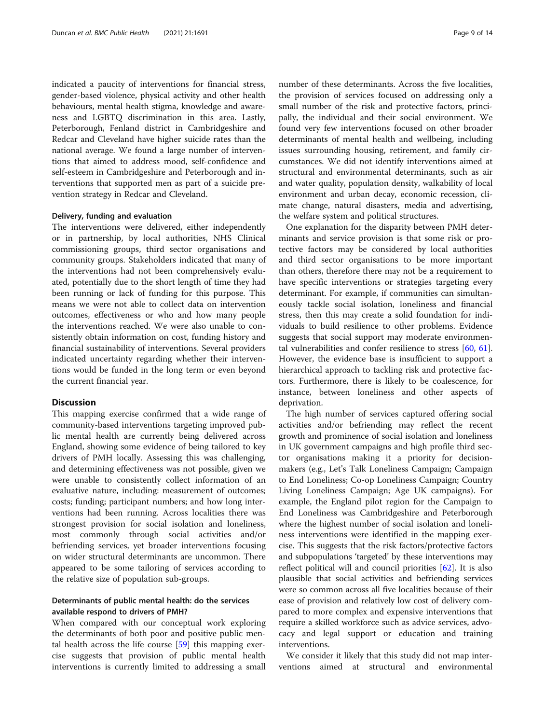indicated a paucity of interventions for financial stress, gender-based violence, physical activity and other health behaviours, mental health stigma, knowledge and awareness and LGBTQ discrimination in this area. Lastly, Peterborough, Fenland district in Cambridgeshire and Redcar and Cleveland have higher suicide rates than the national average. We found a large number of interventions that aimed to address mood, self-confidence and self-esteem in Cambridgeshire and Peterborough and interventions that supported men as part of a suicide prevention strategy in Redcar and Cleveland.

## Delivery, funding and evaluation

The interventions were delivered, either independently or in partnership, by local authorities, NHS Clinical commissioning groups, third sector organisations and community groups. Stakeholders indicated that many of the interventions had not been comprehensively evaluated, potentially due to the short length of time they had been running or lack of funding for this purpose. This means we were not able to collect data on intervention outcomes, effectiveness or who and how many people the interventions reached. We were also unable to consistently obtain information on cost, funding history and financial sustainability of interventions. Several providers indicated uncertainty regarding whether their interventions would be funded in the long term or even beyond the current financial year.

# **Discussion**

This mapping exercise confirmed that a wide range of community-based interventions targeting improved public mental health are currently being delivered across England, showing some evidence of being tailored to key drivers of PMH locally. Assessing this was challenging, and determining effectiveness was not possible, given we were unable to consistently collect information of an evaluative nature, including: measurement of outcomes; costs; funding; participant numbers; and how long interventions had been running. Across localities there was strongest provision for social isolation and loneliness, most commonly through social activities and/or befriending services, yet broader interventions focusing on wider structural determinants are uncommon. There appeared to be some tailoring of services according to the relative size of population sub-groups.

# Determinants of public mental health: do the services available respond to drivers of PMH?

When compared with our conceptual work exploring the determinants of both poor and positive public mental health across the life course [[59\]](#page-13-0) this mapping exercise suggests that provision of public mental health interventions is currently limited to addressing a small number of these determinants. Across the five localities, the provision of services focused on addressing only a small number of the risk and protective factors, principally, the individual and their social environment. We found very few interventions focused on other broader determinants of mental health and wellbeing, including issues surrounding housing, retirement, and family circumstances. We did not identify interventions aimed at structural and environmental determinants, such as air and water quality, population density, walkability of local environment and urban decay, economic recession, climate change, natural disasters, media and advertising, the welfare system and political structures.

One explanation for the disparity between PMH determinants and service provision is that some risk or protective factors may be considered by local authorities and third sector organisations to be more important than others, therefore there may not be a requirement to have specific interventions or strategies targeting every determinant. For example, if communities can simultaneously tackle social isolation, loneliness and financial stress, then this may create a solid foundation for individuals to build resilience to other problems. Evidence suggests that social support may moderate environmental vulnerabilities and confer resilience to stress [\[60,](#page-13-0) [61](#page-13-0)]. However, the evidence base is insufficient to support a hierarchical approach to tackling risk and protective factors. Furthermore, there is likely to be coalescence, for instance, between loneliness and other aspects of deprivation.

The high number of services captured offering social activities and/or befriending may reflect the recent growth and prominence of social isolation and loneliness in UK government campaigns and high profile third sector organisations making it a priority for decisionmakers (e.g., Let's Talk Loneliness Campaign; Campaign to End Loneliness; Co-op Loneliness Campaign; Country Living Loneliness Campaign; Age UK campaigns). For example, the England pilot region for the Campaign to End Loneliness was Cambridgeshire and Peterborough where the highest number of social isolation and loneliness interventions were identified in the mapping exercise. This suggests that the risk factors/protective factors and subpopulations 'targeted' by these interventions may reflect political will and council priorities [[62\]](#page-13-0). It is also plausible that social activities and befriending services were so common across all five localities because of their ease of provision and relatively low cost of delivery compared to more complex and expensive interventions that require a skilled workforce such as advice services, advocacy and legal support or education and training interventions.

We consider it likely that this study did not map interventions aimed at structural and environmental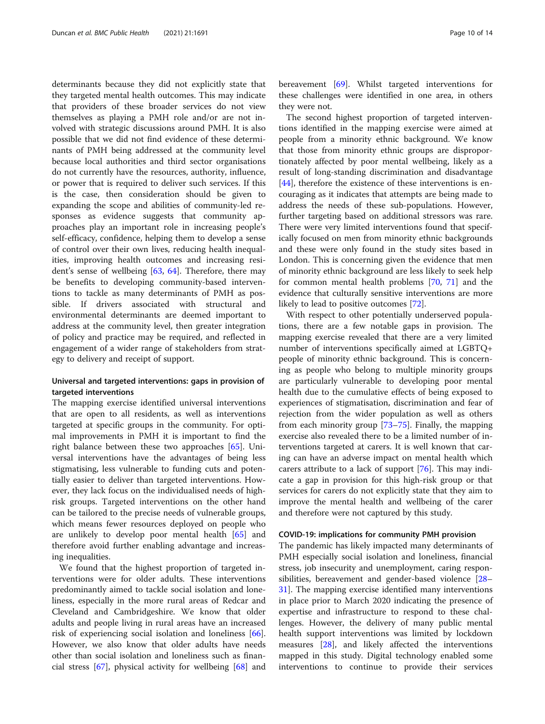determinants because they did not explicitly state that they targeted mental health outcomes. This may indicate that providers of these broader services do not view themselves as playing a PMH role and/or are not involved with strategic discussions around PMH. It is also possible that we did not find evidence of these determinants of PMH being addressed at the community level because local authorities and third sector organisations do not currently have the resources, authority, influence, or power that is required to deliver such services. If this is the case, then consideration should be given to expanding the scope and abilities of community-led responses as evidence suggests that community approaches play an important role in increasing people's self-efficacy, confidence, helping them to develop a sense of control over their own lives, reducing health inequalities, improving health outcomes and increasing resident's sense of wellbeing [[63](#page-13-0), [64](#page-13-0)]. Therefore, there may be benefits to developing community-based interventions to tackle as many determinants of PMH as possible. If drivers associated with structural and environmental determinants are deemed important to address at the community level, then greater integration of policy and practice may be required, and reflected in engagement of a wider range of stakeholders from strategy to delivery and receipt of support.

# Universal and targeted interventions: gaps in provision of targeted interventions

The mapping exercise identified universal interventions that are open to all residents, as well as interventions targeted at specific groups in the community. For optimal improvements in PMH it is important to find the right balance between these two approaches [\[65](#page-13-0)]. Universal interventions have the advantages of being less stigmatising, less vulnerable to funding cuts and potentially easier to deliver than targeted interventions. However, they lack focus on the individualised needs of highrisk groups. Targeted interventions on the other hand can be tailored to the precise needs of vulnerable groups, which means fewer resources deployed on people who are unlikely to develop poor mental health [[65\]](#page-13-0) and therefore avoid further enabling advantage and increasing inequalities.

We found that the highest proportion of targeted interventions were for older adults. These interventions predominantly aimed to tackle social isolation and loneliness, especially in the more rural areas of Redcar and Cleveland and Cambridgeshire. We know that older adults and people living in rural areas have an increased risk of experiencing social isolation and loneliness [\[66](#page-13-0)]. However, we also know that older adults have needs other than social isolation and loneliness such as financial stress [\[67](#page-13-0)], physical activity for wellbeing [\[68\]](#page-13-0) and

bereavement [\[69](#page-13-0)]. Whilst targeted interventions for these challenges were identified in one area, in others they were not.

The second highest proportion of targeted interventions identified in the mapping exercise were aimed at people from a minority ethnic background. We know that those from minority ethnic groups are disproportionately affected by poor mental wellbeing, likely as a result of long-standing discrimination and disadvantage [[44\]](#page-12-0), therefore the existence of these interventions is encouraging as it indicates that attempts are being made to address the needs of these sub-populations. However, further targeting based on additional stressors was rare. There were very limited interventions found that specifically focused on men from minority ethnic backgrounds and these were only found in the study sites based in London. This is concerning given the evidence that men of minority ethnic background are less likely to seek help for common mental health problems [\[70](#page-13-0), [71\]](#page-13-0) and the evidence that culturally sensitive interventions are more likely to lead to positive outcomes [[72\]](#page-13-0).

With respect to other potentially underserved populations, there are a few notable gaps in provision. The mapping exercise revealed that there are a very limited number of interventions specifically aimed at LGBTQ+ people of minority ethnic background. This is concerning as people who belong to multiple minority groups are particularly vulnerable to developing poor mental health due to the cumulative effects of being exposed to experiences of stigmatisation, discrimination and fear of rejection from the wider population as well as others from each minority group [\[73](#page-13-0)–[75\]](#page-13-0). Finally, the mapping exercise also revealed there to be a limited number of interventions targeted at carers. It is well known that caring can have an adverse impact on mental health which carers attribute to a lack of support [[76\]](#page-13-0). This may indicate a gap in provision for this high-risk group or that services for carers do not explicitly state that they aim to improve the mental health and wellbeing of the carer and therefore were not captured by this study.

# COVID-19: implications for community PMH provision

The pandemic has likely impacted many determinants of PMH especially social isolation and loneliness, financial stress, job insecurity and unemployment, caring responsibilities, bereavement and gender-based violence [[28](#page-12-0)– [31\]](#page-12-0). The mapping exercise identified many interventions in place prior to March 2020 indicating the presence of expertise and infrastructure to respond to these challenges. However, the delivery of many public mental health support interventions was limited by lockdown measures [\[28\]](#page-12-0), and likely affected the interventions mapped in this study. Digital technology enabled some interventions to continue to provide their services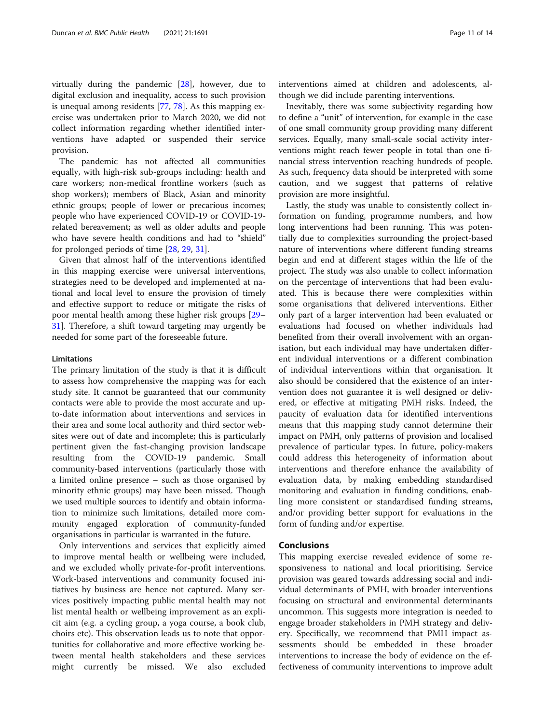virtually during the pandemic [\[28](#page-12-0)], however, due to digital exclusion and inequality, access to such provision is unequal among residents [[77,](#page-13-0) [78\]](#page-13-0). As this mapping exercise was undertaken prior to March 2020, we did not collect information regarding whether identified interventions have adapted or suspended their service provision.

The pandemic has not affected all communities equally, with high-risk sub-groups including: health and care workers; non-medical frontline workers (such as shop workers); members of Black, Asian and minority ethnic groups; people of lower or precarious incomes; people who have experienced COVID-19 or COVID-19 related bereavement; as well as older adults and people who have severe health conditions and had to "shield" for prolonged periods of time [[28,](#page-12-0) [29,](#page-12-0) [31](#page-12-0)].

Given that almost half of the interventions identified in this mapping exercise were universal interventions, strategies need to be developed and implemented at national and local level to ensure the provision of timely and effective support to reduce or mitigate the risks of poor mental health among these higher risk groups [[29](#page-12-0)– [31\]](#page-12-0). Therefore, a shift toward targeting may urgently be needed for some part of the foreseeable future.

# Limitations

The primary limitation of the study is that it is difficult to assess how comprehensive the mapping was for each study site. It cannot be guaranteed that our community contacts were able to provide the most accurate and upto-date information about interventions and services in their area and some local authority and third sector websites were out of date and incomplete; this is particularly pertinent given the fast-changing provision landscape resulting from the COVID-19 pandemic. Small community-based interventions (particularly those with a limited online presence – such as those organised by minority ethnic groups) may have been missed. Though we used multiple sources to identify and obtain information to minimize such limitations, detailed more community engaged exploration of community-funded organisations in particular is warranted in the future.

Only interventions and services that explicitly aimed to improve mental health or wellbeing were included, and we excluded wholly private-for-profit interventions. Work-based interventions and community focused initiatives by business are hence not captured. Many services positively impacting public mental health may not list mental health or wellbeing improvement as an explicit aim (e.g. a cycling group, a yoga course, a book club, choirs etc). This observation leads us to note that opportunities for collaborative and more effective working between mental health stakeholders and these services might currently be missed. We also excluded

Inevitably, there was some subjectivity regarding how to define a "unit" of intervention, for example in the case of one small community group providing many different services. Equally, many small-scale social activity interventions might reach fewer people in total than one financial stress intervention reaching hundreds of people. As such, frequency data should be interpreted with some caution, and we suggest that patterns of relative provision are more insightful.

though we did include parenting interventions.

Lastly, the study was unable to consistently collect information on funding, programme numbers, and how long interventions had been running. This was potentially due to complexities surrounding the project-based nature of interventions where different funding streams begin and end at different stages within the life of the project. The study was also unable to collect information on the percentage of interventions that had been evaluated. This is because there were complexities within some organisations that delivered interventions. Either only part of a larger intervention had been evaluated or evaluations had focused on whether individuals had benefited from their overall involvement with an organisation, but each individual may have undertaken different individual interventions or a different combination of individual interventions within that organisation. It also should be considered that the existence of an intervention does not guarantee it is well designed or delivered, or effective at mitigating PMH risks. Indeed, the paucity of evaluation data for identified interventions means that this mapping study cannot determine their impact on PMH, only patterns of provision and localised prevalence of particular types. In future, policy-makers could address this heterogeneity of information about interventions and therefore enhance the availability of evaluation data, by making embedding standardised monitoring and evaluation in funding conditions, enabling more consistent or standardised funding streams, and/or providing better support for evaluations in the form of funding and/or expertise.

# **Conclusions**

This mapping exercise revealed evidence of some responsiveness to national and local prioritising. Service provision was geared towards addressing social and individual determinants of PMH, with broader interventions focusing on structural and environmental determinants uncommon. This suggests more integration is needed to engage broader stakeholders in PMH strategy and delivery. Specifically, we recommend that PMH impact assessments should be embedded in these broader interventions to increase the body of evidence on the effectiveness of community interventions to improve adult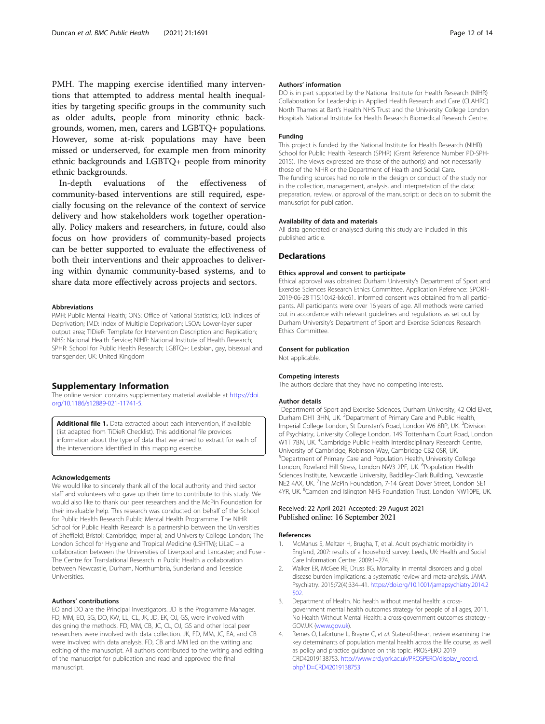<span id="page-11-0"></span>PMH. The mapping exercise identified many interventions that attempted to address mental health inequalities by targeting specific groups in the community such as older adults, people from minority ethnic backgrounds, women, men, carers and LGBTQ+ populations. However, some at-risk populations may have been missed or underserved, for example men from minority ethnic backgrounds and LGBTQ+ people from minority ethnic backgrounds.

In-depth evaluations of the effectiveness of community-based interventions are still required, especially focusing on the relevance of the context of service delivery and how stakeholders work together operationally. Policy makers and researchers, in future, could also focus on how providers of community-based projects can be better supported to evaluate the effectiveness of both their interventions and their approaches to delivering within dynamic community-based systems, and to share data more effectively across projects and sectors.

#### Abbreviations

PMH: Public Mental Health; ONS: Office of National Statistics; IoD: Indices of Deprivation; IMD: Index of Multiple Deprivation; LSOA: Lower-layer super output area; TIDieR: Template for Intervention Description and Replication; NHS: National Health Service; NIHR: National Institute of Health Research; SPHR: School for Public Health Research; LGBTQ+: Lesbian, gay, bisexual and transgender; UK: United Kingdom

# Supplementary Information

The online version contains supplementary material available at [https://doi.](https://doi.org/10.1186/s12889-021-11741-5) [org/10.1186/s12889-021-11741-5.](https://doi.org/10.1186/s12889-021-11741-5)

Additional file 1. Data extracted about each intervention, if available (list adapted from TiDieR Checklist). This additional file provides information about the type of data that we aimed to extract for each of the interventions identified in this mapping exercise.

# Acknowledgements

We would like to sincerely thank all of the local authority and third sector staff and volunteers who gave up their time to contribute to this study. We would also like to thank our peer researchers and the McPin Foundation for their invaluable help. This research was conducted on behalf of the School for Public Health Research Public Mental Health Programme. The NIHR School for Public Health Research is a partnership between the Universities of Sheffield; Bristol; Cambridge; Imperial; and University College London; The London School for Hygiene and Tropical Medicine (LSHTM); LiLaC – a collaboration between the Universities of Liverpool and Lancaster; and Fuse - The Centre for Translational Research in Public Health a collaboration between Newcastle, Durham, Northumbria, Sunderland and Teesside Universities.

### Authors' contributions

EO and DO are the Principal Investigators. JD is the Programme Manager. FD, MM, EO, SG, DO, KW, LL, CL, JK, JD, EK, OJ, GS, were involved with designing the methods. FD, MM, CB, JC, CL, OJ, GS and other local peer researchers were involved with data collection. JK, FD, MM, JC, EA, and CB were involved with data analysis. FD, CB and MM led on the writing and editing of the manuscript. All authors contributed to the writing and editing of the manuscript for publication and read and approved the final manuscript.

# Authors' information

DO is in part supported by the National Institute for Health Research (NIHR) Collaboration for Leadership in Applied Health Research and Care (CLAHRC) North Thames at Bart's Health NHS Trust and the University College London Hospitals National Institute for Health Research Biomedical Research Centre.

#### Funding

This project is funded by the National Institute for Health Research (NIHR) School for Public Health Research (SPHR) (Grant Reference Number PD-SPH-2015). The views expressed are those of the author(s) and not necessarily those of the NIHR or the Department of Health and Social Care. The funding sources had no role in the design or conduct of the study nor in the collection, management, analysis, and interpretation of the data; preparation, review, or approval of the manuscript; or decision to submit the manuscript for publication.

#### Availability of data and materials

All data generated or analysed during this study are included in this published article.

# **Declarations**

# Ethics approval and consent to participate

Ethical approval was obtained Durham University's Department of Sport and Exercise Sciences Research Ethics Committee. Application Reference: SPORT-2019-06-28 T15:10:42-lxkc61. Informed consent was obtained from all participants. All participants were over 16 years of age. All methods were carried out in accordance with relevant guidelines and regulations as set out by Durham University's Department of Sport and Exercise Sciences Research Ethics Committee.

# Consent for publication

Not applicable.

## Competing interests

The authors declare that they have no competing interests.

#### Author details

<sup>1</sup>Department of Sport and Exercise Sciences, Durham University, 42 Old Elvet Durham DH1 3HN, UK. <sup>2</sup> Department of Primary Care and Public Health Imperial College London, St Dunstan's Road, London W6 8RP, UK. <sup>3</sup>Division of Psychiatry, University College London, 149 Tottenham Court Road, London W1T 7BN, UK. <sup>4</sup>Cambridge Public Health Interdisciplinary Research Centre University of Cambridge, Robinson Way, Cambridge CB2 0SR, UK. 5 Department of Primary Care and Population Health, University College London, Rowland Hill Stress, London NW3 2PF, UK. <sup>6</sup>Population Health Sciences Institute, Newcastle University, Baddiley-Clark Building, Newcastle NE2 4AX, UK. <sup>7</sup>The McPin Foundation, 7-14 Great Dover Street, London SE1 4YR, UK. <sup>8</sup>Camden and Islington NHS Foundation Trust, London NW10PE, UK

# Received: 22 April 2021 Accepted: 29 August 2021 Published online: 16 September 2021

# References

- 1. McManus S, Meltzer H, Brugha, T, et al. Adult psychiatric morbidity in England, 2007: results of a household survey. Leeds, UK: Health and Social Care Information Centre. 2009:1–274.
- 2. Walker ER, McGee RE, Druss BG. Mortality in mental disorders and global disease burden implications: a systematic review and meta-analysis. JAMA Psychiatry. 2015;72(4):334–41. [https://doi.org/10.1001/jamapsychiatry.2014.2](https://doi.org/10.1001/jamapsychiatry.2014.2502) [502.](https://doi.org/10.1001/jamapsychiatry.2014.2502)
- 3. Department of Health. No health without mental health: a crossgovernment mental health outcomes strategy for people of all ages, 2011. No Health Without Mental Health: a cross-government outcomes strategy - GOV.UK ([www.gov.uk\)](http://www.gov.uk).
- 4. Remes O, Lafortune L, Brayne C, et al. State-of-the-art review examining the key determinants of population mental health across the life course, as well as policy and practice guidance on this topic. PROSPERO 2019 CRD42019138753. [http://www.crd.york.ac.uk/PROSPERO/display\\_record.](http://www.crd.york.ac.uk/PROSPERO/display_record.php?ID=CRD42019138753) [php?ID=CRD42019138753](http://www.crd.york.ac.uk/PROSPERO/display_record.php?ID=CRD42019138753)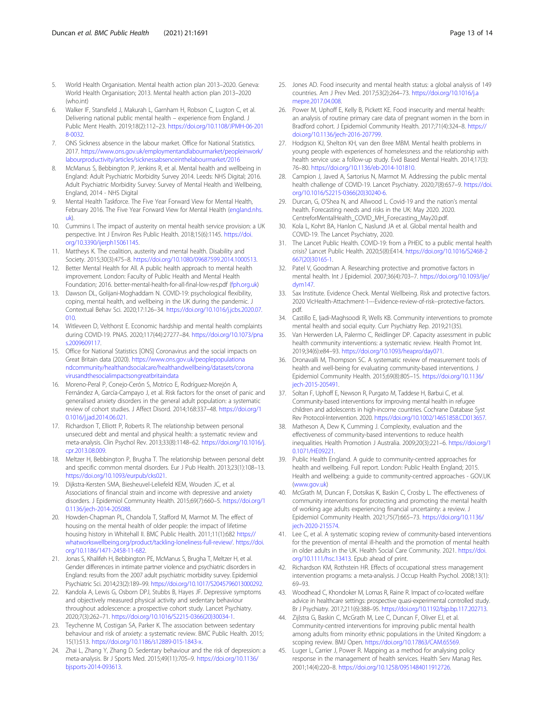- <span id="page-12-0"></span>5. World Health Organisation. Mental health action plan 2013–2020. Geneva: World Health Organisation; 2013. Mental health action plan 2013–2020 (who.int)
- 6. Walker IF, Stansfield J, Makurah L, Garnham H, Robson C, Lugton C, et al. Delivering national public mental health – experience from England. J Public Ment Health. 2019;18(2):112–23. [https://doi.org/10.1108/JPMH-06-201](https://doi.org/10.1108/JPMH-06-2018-0032) [8-0032.](https://doi.org/10.1108/JPMH-06-2018-0032)
- 7. ONS Sickness absence in the labour market. Office for National Statistics. 2017. [https://www.ons.gov.uk/employmentandlabourmarket/peopleinwork/](https://www.ons.gov.uk/employmentandlabourmarket/peopleinwork/labourproductivity/articles/sicknessabsenceinthelabourmarket/2016) [labourproductivity/articles/sicknessabsenceinthelabourmarket/2016](https://www.ons.gov.uk/employmentandlabourmarket/peopleinwork/labourproductivity/articles/sicknessabsenceinthelabourmarket/2016)
- McManus S, Bebbington P, Jenkins R, et al. Mental health and wellbeing in England: Adult Psychiatric Morbidity Survey 2014. Leeds: NHS Digital; 2016. Adult Psychiatric Morbidity Survey: Survey of Mental Health and Wellbeing, England, 2014 - NHS Digital
- Mental Health Taskforce. The Five Year Forward View for Mental Health, February 2016. The Five Year Forward View for Mental Health [\(england.nhs.](http://england.nhs.uk) [uk](http://england.nhs.uk)).
- 10. Cummins I. The impact of austerity on mental health service provision: a UK perspective. Int J Environ Res Public Health. 2018;15(6):1145. [https://doi.](https://doi.org/10.3390/ijerph15061145) [org/10.3390/ijerph15061145](https://doi.org/10.3390/ijerph15061145).
- 11. Mattheys K. The coalition, austerity and mental health. Disability and Society. 2015;30(3):475–8. <https://doi.org/10.1080/09687599.2014.1000513>.
- 12. Better Mental Health for All. A public health approach to mental health improvement. London: Faculty of Public Health and Mental Health Foundation; 2016. better-mental-health-for-all-final-low-res.pdf ([fph.org.uk](http://fph.org.uk))
- 13. Dawson DL, Golijani-Moghaddam N. COVID-19: psychological flexibility, coping, mental health, and wellbeing in the UK during the pandemic. J Contextual Behav Sci. 2020;17:126–34. [https://doi.org/10.1016/j.jcbs.2020.07.](https://doi.org/10.1016/j.jcbs.2020.07.010) [010.](https://doi.org/10.1016/j.jcbs.2020.07.010)
- 14. Witleveen D, Velthorst E. Economic hardship and mental health complaints during COVID-19. PNAS. 2020;117(44):27277–84. [https://doi.org/10.1073/pna](https://doi.org/10.1073/pnas.2009609117) [s.2009609117.](https://doi.org/10.1073/pnas.2009609117)
- 15. Office for National Statistics [ONS] Coronavirus and the social impacts on Great Britain data (2020). [https://www.ons.gov.uk/peoplepopulationa](https://www.ons.gov.uk/peoplepopulationandcommunity/healthandsocialcare/healthandwellbeing/datasets/coronavirusandthesocialimpactsongreatbritaindata) [ndcommunity/healthandsocialcare/healthandwellbeing/datasets/corona](https://www.ons.gov.uk/peoplepopulationandcommunity/healthandsocialcare/healthandwellbeing/datasets/coronavirusandthesocialimpactsongreatbritaindata) [virusandthesocialimpactsongreatbritaindata](https://www.ons.gov.uk/peoplepopulationandcommunity/healthandsocialcare/healthandwellbeing/datasets/coronavirusandthesocialimpactsongreatbritaindata)
- 16. Moreno-Peral P, Conejo-Cerón S, Motrico E, Rodríguez-Morejón A, Fernández A, García-Campayo J, et al. Risk factors for the onset of panic and generalised anxiety disorders in the general adult population: a systematic review of cohort studies. J Affect Disord. 2014;168:337–48. [https://doi.org/1](https://doi.org/10.1016/j.jad.2014.06.021) [0.1016/j.jad.2014.06.021.](https://doi.org/10.1016/j.jad.2014.06.021)
- 17. Richardson T, Elliott P, Roberts R. The relationship between personal unsecured debt and mental and physical health: a systematic review and meta-analysis. Clin Psychol Rev. 2013;33(8):1148–62. [https://doi.org/10.1016/j.](https://doi.org/10.1016/j.cpr.2013.08.009) [cpr.2013.08.009](https://doi.org/10.1016/j.cpr.2013.08.009).
- 18. Meltzer H, Bebbington P, Brugha T. The relationship between personal debt and specific common mental disorders. Eur J Pub Health. 2013;23(1):108–13. [https://doi.org/10.1093/eurpub/cks021.](https://doi.org/10.1093/eurpub/cks021)
- 19. Dijkstra-Kersten SMA, Biesheuvel-Leliefeld KEM, Wouden JC, et al. Associations of financial strain and income with depressive and anxiety disorders. J Epidemiol Community Health. 2015;69(7):660–5. [https://doi.org/1](https://doi.org/10.1136/jech-2014-205088) 0.1136/iech-2014-205088
- 20. Howden-Chapman PL, Chandola T, Stafford M, Marmot M. The effect of housing on the mental health of older people: the impact of lifetime housing history in Whitehall II. BMC Public Health. 2011;11(1):682 [https://](https://whatworkswellbeing.org/product/tackling-loneliness-full-review/) [whatworkswellbeing.org/product/tackling-loneliness-full-review/](https://whatworkswellbeing.org/product/tackling-loneliness-full-review/). [https://doi.](https://doi.org/10.1186/1471-2458-11-682) [org/10.1186/1471-2458-11-682.](https://doi.org/10.1186/1471-2458-11-682)
- 21. Jonas S, Khalifeh H, Bebbington PE, McManus S, Brugha T, Meltzer H, et al. Gender differences in intimate partner violence and psychiatric disorders in England: results from the 2007 adult psychiatric morbidity survey. Epidemiol Psychiatric Sci. 2014;23(2):189–99. <https://doi.org/10.1017/S2045796013000292>.
- 22. Kandola A, Lewis G, Osborn DPJ, Stubbs B, Hayes JF. Depressive symptoms and objectively measured physical activity and sedentary behaviour throughout adolescence: a prospective cohort study. Lancet Psychiatry. 2020;7(3):262–71. [https://doi.org/10.1016/S2215-0366\(20\)30034-1](https://doi.org/10.1016/S2215-0366(20)30034-1).
- 23. Teychenne M, Costigan SA, Parker K. The association between sedentary behaviour and risk of anxiety: a systematic review. BMC Public Health. 2015; 15(1):513. <https://doi.org/10.1186/s12889-015-1843-x>.
- 24. Zhai L, Zhang Y, Zhang D. Sedentary behaviour and the risk of depression: a meta-analysis. Br J Sports Med. 2015;49(11):705–9. [https://doi.org/10.1136/](https://doi.org/10.1136/bjsports-2014-093613) [bjsports-2014-093613](https://doi.org/10.1136/bjsports-2014-093613).
- 25. Jones AD. Food insecurity and mental health status: a global analysis of 149 countries. Am J Prev Med. 2017;53(2):264–73. [https://doi.org/10.1016/j.a](https://doi.org/10.1016/j.amepre.2017.04.008) [mepre.2017.04.008.](https://doi.org/10.1016/j.amepre.2017.04.008)
- 26. Power M, Uphoff E, Kelly B, Pickett KE. Food insecurity and mental health: an analysis of routine primary care data of pregnant women in the born in Bradford cohort. J Epidemiol Community Health. 2017;71(4):324–8. [https://](https://doi.org/10.1136/jech-2016-207799) [doi.org/10.1136/jech-2016-207799](https://doi.org/10.1136/jech-2016-207799).
- 27. Hodgson KJ, Shelton KH, van den Bree MBM. Mental health problems in young people with experiences of homelessness and the relationship with health service use: a follow-up study. Evid Based Mental Health. 2014;17(3): 76–80. <https://doi.org/10.1136/eb-2014-101810>.
- 28. Campion J, Javed A, Sartorius N, Marmot M. Addressing the public mental health challenge of COVID-19. Lancet Psychiatry. 2020;7(8):657–9. [https://doi.](https://doi.org/10.1016/S2215-0366(20)30240-6) [org/10.1016/S2215-0366\(20\)30240-6.](https://doi.org/10.1016/S2215-0366(20)30240-6)
- 29. Durcan, G, O'Shea N, and Allwood L. Covid-19 and the nation's mental health. Forecasting needs and risks in the UK: May 2020. 2020. CentreforMentalHealth\_COVID\_MH\_Forecasting\_May20.pdf.
- 30. Kola L, Kohrt BA, Hanlon C, Naslund JA et al. Global mental health and COVID-19. The Lancet Psychiatry, 2020.
- 31. The Lancet Public Health. COVID-19: from a PHEIC to a public mental health crisis? Lancet Public Health. 2020;5(8):E414. [https://doi.org/10.1016/S2468-2](https://doi.org/10.1016/S2468-2667(20)30165-1) [667\(20\)30165-1](https://doi.org/10.1016/S2468-2667(20)30165-1).
- 32. Patel V, Goodman A. Researching protective and promotive factors in mental health. Int J Epidemiol. 2007;36(4):703–7. [https://doi.org/10.1093/ije/](https://doi.org/10.1093/ije/dym147) [dym147.](https://doi.org/10.1093/ije/dym147)
- 33. Sax Institute. Evidence Check. Mental Wellbeing. Risk and protective factors. 2020 VicHealth-Attachment-1---Evidence-review-of-risk--protective-factors. pdf.
- 34. Castillo E, Ijadi-Maghsoodi R, Wells KB. Community interventions to promote mental health and social equity. Curr Psychiatry Rep. 2019;21(35).
- 35. Van Herwerden LA, Palermo C, Reidlinger DP. Capacity assessment in public health community interventions: a systematic review. Health Promot Int. 2019;34(6):e84–93. [https://doi.org/10.1093/heapro/day071.](https://doi.org/10.1093/heapro/day071)
- 36. Dronavalli M, Thompson SC. A systematic review of measurement tools of health and well-being for evaluating community-based interventions. J Epidemiol Community Health. 2015;69(8):805–15. [https://doi.org/10.1136/](https://doi.org/10.1136/jech-2015-205491) [jech-2015-205491.](https://doi.org/10.1136/jech-2015-205491)
- 37. Soltan F, Uphoff E, Newson R, Purgato M, Taddese H, Barbui C, et al. Community-based interventions for improving mental health in refugee children and adolescents in high-income countries. Cochrane Database Syst Rev Protocol-Intervention. 2020. <https://doi.org/10.1002/14651858.CD013657>.
- 38. Matheson A, Dew K, Cumming J. Complexity, evaluation and the effectiveness of community-based interventions to reduce health inequalities. Health Promotion J Australia. 2009;20(3):221–6. [https://doi.org/1](https://doi.org/10.1071/HE09221) [0.1071/HE09221](https://doi.org/10.1071/HE09221).
- 39. Public Health England. A guide to community-centred approaches for health and wellbeing. Full report. London: Public Health England; 2015. Health and wellbeing: a guide to community-centred approaches - GOV.UK ([www.gov.uk\)](http://www.gov.uk)
- 40. McGrath M, Duncan F, Dotsikas K, Baskin C, Crosby L. The effectiveness of community interventions for protecting and promoting the mental health of working age adults experiencing financial uncertainty: a review. J Epidemiol Community Health. 2021;75(7):665–73. [https://doi.org/10.1136/](https://doi.org/10.1136/jech-2020-215574) [jech-2020-215574.](https://doi.org/10.1136/jech-2020-215574)
- 41. Lee C, et al. A systematic scoping review of community-based interventions for the prevention of mental ill-health and the promotion of mental health in older adults in the UK. Health Social Care Community. 2021. [https://doi.](https://doi.org/10.1111/hsc.13413) [org/10.1111/hsc.13413.](https://doi.org/10.1111/hsc.13413) Epub ahead of print.
- 42. Richardson KM, Rothstein HR. Effects of occupational stress management intervention programs: a meta-analysis. J Occup Health Psychol. 2008;13(1): 69–93.
- 43. Woodhead C, Khondoker M, Lomas R, Raine R. Impact of co-located welfare advice in healthcare settings: prospective quasi-experimental controlled study. Br J Psychiatry. 2017;211(6):388–95. [https://doi.org/10.1192/bjp.bp.117.202713.](https://doi.org/10.1192/bjp.bp.117.202713)
- 44. Zijlstra G, Baskin C, McGrath M, Lee C, Duncan F, Oliver EJ, et al. Community-centred interventions for improving public mental health among adults from minority ethnic populations in the United Kingdom: a scoping review. BMJ Open. [https://doi.org/10.17863/CAM.65569.](https://doi.org/10.17863/CAM.65569)
- 45. Luger L, Carrier J, Power R. Mapping as a method for analysing policy response in the management of health services. Health Serv Manag Res. 2001;14(4):220–8. <https://doi.org/10.1258/0951484011912726>.